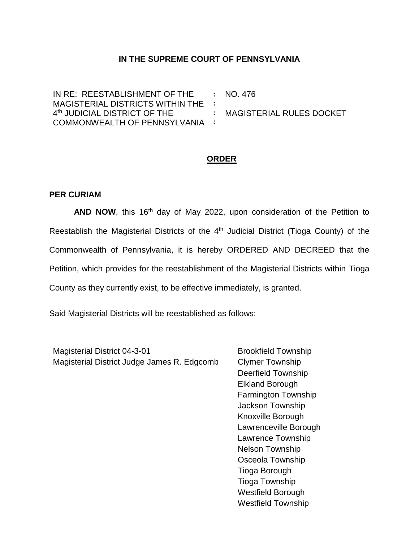## **IN THE SUPREME COURT OF PENNSYLVANIA**

IN RE: REESTABLISHMENT OF THE MAGISTERIAL DISTRICTS WITHIN THE **:** 4 th JUDICIAL DISTRICT OF THE COMMONWEALTH OF PENNSYLVANIA **: :** NO. 476 **:** MAGISTERIAL RULES DOCKET

## **ORDER**

## **PER CURIAM**

AND NOW, this 16<sup>th</sup> day of May 2022, upon consideration of the Petition to Reestablish the Magisterial Districts of the 4<sup>th</sup> Judicial District (Tioga County) of the Commonwealth of Pennsylvania, it is hereby ORDERED AND DECREED that the Petition, which provides for the reestablishment of the Magisterial Districts within Tioga County as they currently exist, to be effective immediately, is granted.

Said Magisterial Districts will be reestablished as follows:

Magisterial District 04-3-01 Magisterial District Judge James R. Edgcomb

Brookfield Township Clymer Township Deerfield Township Elkland Borough Farmington Township Jackson Township Knoxville Borough Lawrenceville Borough Lawrence Township Nelson Township Osceola Township Tioga Borough Tioga Township Westfield Borough Westfield Township